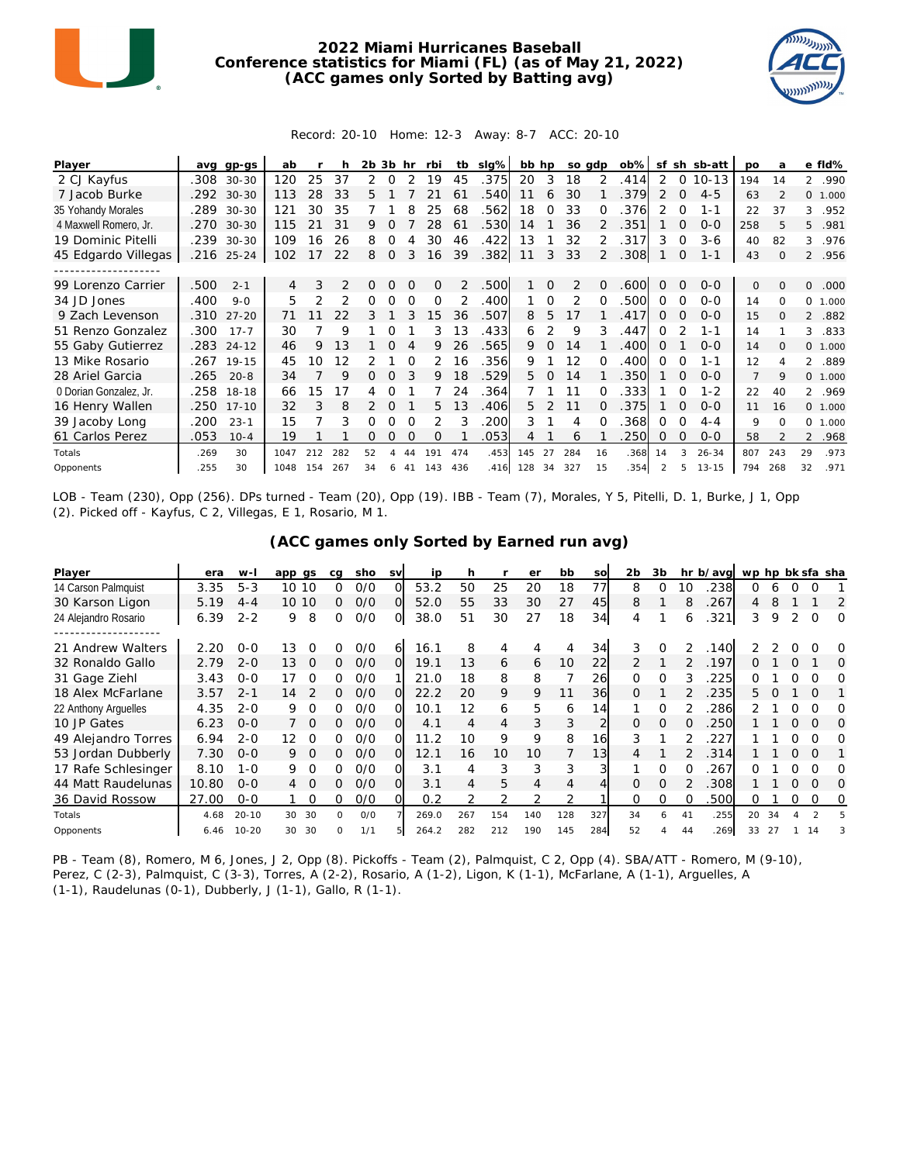

## **2022 Miami Hurricanes Baseball Conference statistics for Miami (FL) (as of May 21, 2022) (ACC games only Sorted by Batting avg)**



## Record: 20-10 Home: 12-3 Away: 8-7 ACC: 20-10

| Player                 | ava  | $qp-gs$   | ab   |                |               | 2b | 3b       | hr       | rbi      | tb  | $slq\%$ | bb hp |          | so gdp         |               | $ob\%$ | sf            | sh          | sb-att    | <b>DO</b>      | a              |                | e fld%   |
|------------------------|------|-----------|------|----------------|---------------|----|----------|----------|----------|-----|---------|-------|----------|----------------|---------------|--------|---------------|-------------|-----------|----------------|----------------|----------------|----------|
| 2 CJ Kayfus            | .308 | $30 - 30$ | 120  | 25             | 37            | 2  | 0        |          | 19       | 45  | .375    | 20    | 3        | 18             |               | .414   | 2             | 0           | $10 - 13$ | 194            | 14             | $\overline{2}$ | .990     |
| 7 Jacob Burke          | .292 | $30 - 30$ | 113  | 28             | 33            | 5. |          |          |          | 61  | .540    | 11    | 6        | 30             |               | 379    | 2             | $\mathbf 0$ | $4 - 5$   | 63             | $\overline{2}$ |                | 0, 1,000 |
| 35 Yohandy Morales     | .289 | $30 - 30$ | 121  | 30             | 35            |    |          |          | 25       | 68  | .562    | 18    | $\Omega$ | 33             | ∩             | 376    | $\mathcal{P}$ | 0           | 1-1       | 22             | 37             | 3              | .952     |
| 4 Maxwell Romero, Jr.  | .270 | $30 - 30$ | 115  |                | 31            | 9  |          |          | 28       | 61  | .530    | 14    |          | 36             |               | 351    |               | O           | $O - O$   | 258            | 5              | 5.             | .981     |
| 19 Dominic Pitelli     | .239 | $30 - 30$ | 109  | 16             | 26            | 8  | Ω        |          | 30       | 46  | .422    | 13    |          | 32             | 2             | 317    | 3             | 0           | $3-6$     | 40             | 82             | 3              | .976     |
| 45 Edgardo Villegas    | .216 | $25 - 24$ | 102  | 17             | 22            | 8  | $\Omega$ | 3        | 16       | 39  | .382    | 11    | 3        | 33             | $\mathcal{P}$ | .308   |               | 0           | 1-1       | 43             | $\Omega$       |                | 2 .956   |
|                        |      |           |      |                |               |    |          |          |          |     |         |       |          |                |               |        |               |             |           |                |                |                |          |
| 99 Lorenzo Carrier     | 500  | $2 - 1$   | 4    | 3              | $\mathcal{P}$ | 0  | $\Omega$ | $\Omega$ | $\Omega$ | 2   | .500    |       | $\Omega$ | $\overline{2}$ | $\Omega$      | .600   | $\Omega$      | $\Omega$    | $0 - 0$   | $\mathbf{O}$   | $\Omega$       | 0              | .000     |
| 34 JD Jones            | .400 | $9 - 0$   | 5    | $\mathfrak{D}$ |               | Ω  | Ω        | ∩        | $\Omega$ |     | .400    |       | O        | 2              | ∩             | .500   | 0             | 0           | $O-O$     | 14             | $\Omega$       | $\Omega$       | 1.000    |
| 9 Zach Levenson        | .310 | $27 - 20$ | 71   |                | 22            | 3  |          |          | 15       | 36  | .507    | 8     | 5        | 17             |               | .417   | 0             | $\Omega$    | $0 - 0$   | 15             | 0              | $\overline{2}$ | .882     |
| 51 Renzo Gonzalez      | .300 | $17 - 7$  | 30   |                | 9             |    |          |          | 3.       | 13  | .433    | 6     | 2        | 9              | 3             | .447   | ∩             |             | $1 - 1$   | 14             |                | 3              | .833     |
| 55 Gaby Gutierrez      | .283 | $24 - 12$ | 46   | 9              | 13            |    |          |          | 9        | 26  | .565    | 9     | $\Omega$ | 14             |               | .400   | 0             |             | $0 - 0$   | 14             | 0              |                | 0 1.000  |
| 13 Mike Rosario        | .267 | $19 - 15$ | 45   | 10             | 12            |    |          |          | 2        | 16  | .356    | 9     |          | 12             | ∩             | .400   | O             | 0           | $1 - 1$   | 12             | 4              | $\mathcal{L}$  | .889     |
| 28 Ariel Garcia        | .265 | $20 - 8$  | 34   |                | 9             |    | Ω        |          | 9        | 18  | .529    | 5     | $\Omega$ | 14             |               | .350   |               | $\Omega$    | $O-O$     | $\overline{7}$ | 9              |                | 0 1.000  |
| 0 Dorian Gonzalez, Jr. | .258 | $18-18$   | 66   | 15             | 17            |    |          |          |          | 24  | .364    |       |          | 11             | 0             | 333    |               | 0           | $1 - 2$   | 22             | 40             |                | 2 .969   |
| 16 Henry Wallen        | .250 | $17 - 10$ | 32   | 3              | 8             |    |          |          | 5.       | 13  | .406    | 5.    |          | 11             |               | 375    |               | $\Omega$    | $0 - 0$   | 11             | 16             |                | 0 1.000  |
| 39 Jacoby Long         | .200 | $23 - 1$  | 15   |                | 3             | Ω  | 0        | O        | 2        | 3   | 200     | 3     |          | 4              |               | 368    | O             | 0           | $4 - 4$   | 9              | $\Omega$       |                | 0 1.000  |
| 61 Carlos Perez        | 053  | $10 - 4$  | 19   |                |               | Ω  | $\Omega$ | $\Omega$ | $\Omega$ |     | .053    | 4     |          | 6              |               | 250    | 0             | $\Omega$    | $O - O$   | 58             |                |                | 2 .968   |
| Totals                 | .269 | 30        | 1047 | 212            | 282           | 52 |          |          | 191      | 474 | .453    | 145   | 27       | 284            | 16            | .368   | 14            |             | $26 - 34$ | 807            | 243            | 29             | .973     |
| Opponents              | .255 | 30        | 1048 | 154            | 267           | 34 | 6        | 41       | 143      | 436 | .416    | 128   | 34       | 327            | 15            | .354   | 2             | 5           | $13 - 15$ | 794            | 268            | 32             | .971     |

LOB - Team (230), Opp (256). DPs turned - Team (20), Opp (19). IBB - Team (7), Morales, Y 5, Pitelli, D. 1, Burke, J 1, Opp (2). Picked off - Kayfus, C 2, Villegas, E 1, Rosario, M 1.

| (ACC games only Sorted by Earned run avg) |  |  |
|-------------------------------------------|--|--|
|                                           |  |  |

| Player               | era   | w-I       | app gs         | cq           | sho | <b>SV</b> | ip    | h   |                | er  | bb  | SO  | 2 <sub>b</sub> | 3b       |    | hr b/avg | wp hp bk sfa sha |    |   |          |          |
|----------------------|-------|-----------|----------------|--------------|-----|-----------|-------|-----|----------------|-----|-----|-----|----------------|----------|----|----------|------------------|----|---|----------|----------|
| 14 Carson Palmquist  | 3.35  | $5 - 3$   | 10 10          | ∩            | O/O | O         | 53.2  | 50  | 25             | 20  | 18  | 77  | 8              |          | 10 | 238      | 0                | 6  |   |          |          |
| 30 Karson Ligon      | 5.19  | $4 - 4$   | 10 10          | 0            | O/O | $\Omega$  | 52.0  | 55  | 33             | 30  | 27  | 45  | 8              |          |    | 267      | 4                | 8  |   |          | 2        |
| 24 Alejandro Rosario | 6.39  | $2 - 2$   | 8<br>9         | 0            | O/O | O         | 38.0  | 51  | 30             | 27  | 18  | 34  | 4              |          | 6  | .321     | 3                | 9  |   | $\Omega$ | 0        |
|                      |       |           |                |              |     |           |       |     |                |     |     |     |                |          |    |          |                  |    |   |          |          |
| 21 Andrew Walters    | 2.20  | $0 - 0$   | 13             |              | O/O | 6         | 16.1  | 8   | 4              | 4   |     | 34  | 3              | $\Omega$ | 2  | 140      |                  |    |   |          | O        |
| 32 Ronaldo Gallo     | 2.79  | $2 - 0$   | 13<br>$\Omega$ | 0            | O/O | $\Omega$  | 19.1  | 13  | 6              | 6   | 10  | 22  |                |          | 2  | 197      | 0                |    |   |          | O        |
| 31 Gage Ziehl        | 3.43  | $0 - 0$   | 17             | O            | 0/0 |           | 21.0  | 18  | 8              | 8   |     | 26  | 0              | 0        |    | 225      | ∩                |    |   |          | Ω        |
| 18 Alex McFarlane    | 3.57  | $2 - 1$   | 14             | 0            | O/O |           | 22.2  | 20  | 9              | 9   | 11  | 36  | <sup>o</sup>   |          |    | 235      | 5.               |    |   | $\Omega$ |          |
| 22 Anthony Arquelles | 4.35  | $2 - 0$   | 9              | O            | 0/0 |           | 10.1  | 12  | 6              | 5   | 6   | 14  |                | O        |    | 286      |                  |    |   |          |          |
| 10 JP Gates          | 6.23  | $0 - 0$   | $\Omega$       | Ω.           | O/O | Ο         | 4.1   | 4   | $\overline{4}$ | 3   | 3   |     | $\Omega$       | $\Omega$ | O  | 250      |                  |    | 0 | $\Omega$ | $\Omega$ |
| 49 Alejandro Torres  | 6.94  | $2 - 0$   | 12<br>O        | ∩            | 0/0 | Ω         | 1.2   | 10  | 9              | 9   | 8   | 16  | 3              |          |    | 227      |                  |    |   |          | O        |
| 53 Jordan Dubberly   | 7.30  | $0 - 0$   | 9.<br>$\Omega$ | 0            | O/O | $\Omega$  | 12.1  | 16  | 10             | 10  |     | 13  | 4              |          |    | 314      |                  |    | 0 | $\Omega$ |          |
| 17 Rafe Schlesinger  | 8.10  | $1 - 0$   | 9<br>$\Omega$  |              | 0/0 | ი         | 3.1   | 4   | 3              | 3   | 3   |     |                |          |    | 267      |                  |    |   |          | Ω        |
| 44 Matt Raudelunas   | 10.80 | $0 - 0$   | $\Omega$<br>4  | 0            | O/O | 0         | 3.1   | 4   | 5              | 4   | 4   |     | <sup>o</sup>   | $\Omega$ |    | 308      |                  |    | 0 | $\Omega$ | O        |
| 36 David Rossow      | 27.00 | $0 - 0$   |                |              | 0/0 |           | 0.2   |     |                |     |     |     |                |          |    | 500      | Ω                |    |   |          | O        |
| Totals               | 4.68  | $20 - 10$ | 30<br>30       | <sup>o</sup> | O/O |           | 269.0 | 267 | 154            | 140 | 128 | 327 | 34             | 6        | 41 | .255     | 20               | 34 |   |          |          |
| Opponents            | 6.46  | $10 - 20$ | 30<br>30       | O.           | 1/1 |           | 264.2 | 282 | 212            | 190 | 145 | 284 | 52             |          | 44 | 269      | 33               | 27 |   | 14       |          |

PB - Team (8), Romero, M 6, Jones, J 2, Opp (8). Pickoffs - Team (2), Palmquist, C 2, Opp (4). SBA/ATT - Romero, M (9-10), Perez, C (2-3), Palmquist, C (3-3), Torres, A (2-2), Rosario, A (1-2), Ligon, K (1-1), McFarlane, A (1-1), Arguelles, A (1-1), Raudelunas (0-1), Dubberly, J (1-1), Gallo, R (1-1).